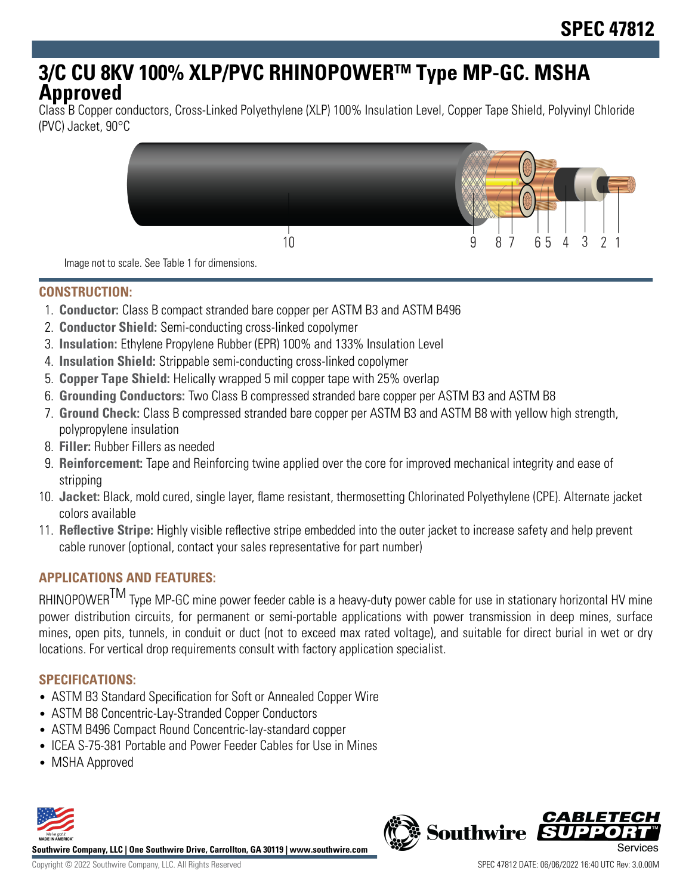# **3/C CU 8KV 100% XLP/PVC RHINOPOWERTM Type MP-GC. MSHA Approved**

Class B Copper conductors, Cross-Linked Polyethylene (XLP) 100% Insulation Level, Copper Tape Shield, Polyvinyl Chloride (PVC) Jacket, 90°C



Image not to scale. See Table 1 for dimensions.

#### **CONSTRUCTION:**

- 1. **Conductor:** Class B compact stranded bare copper per ASTM B3 and ASTM B496
- 2. **Conductor Shield:** Semi-conducting cross-linked copolymer
- 3. **Insulation:** Ethylene Propylene Rubber (EPR) 100% and 133% Insulation Level
- 4. **Insulation Shield:** Strippable semi-conducting cross-linked copolymer
- 5. **Copper Tape Shield:** Helically wrapped 5 mil copper tape with 25% overlap
- 6. **Grounding Conductors:** Two Class B compressed stranded bare copper per ASTM B3 and ASTM B8
- 7. **Ground Check:** Class B compressed stranded bare copper per ASTM B3 and ASTM B8 with yellow high strength, polypropylene insulation
- 8. **Filler:** Rubber Fillers as needed
- 9. **Reinforcement:** Tape and Reinforcing twine applied over the core for improved mechanical integrity and ease of stripping
- 10. **Jacket:** Black, mold cured, single layer, flame resistant, thermosetting Chlorinated Polyethylene (CPE). Alternate jacket colors available
- 11. **Reflective Stripe:** Highly visible reflective stripe embedded into the outer jacket to increase safety and help prevent cable runover (optional, contact your sales representative for part number)

#### **APPLICATIONS AND FEATURES:**

RHINOPOWER<sup>TM</sup> Type MP-GC mine power feeder cable is a heavy-duty power cable for use in stationary horizontal HV mine power distribution circuits, for permanent or semi-portable applications with power transmission in deep mines, surface mines, open pits, tunnels, in conduit or duct (not to exceed max rated voltage), and suitable for direct burial in wet or dry locations. For vertical drop requirements consult with factory application specialist.

#### **SPECIFICATIONS:**

- ASTM B3 Standard Specification for Soft or Annealed Copper Wire
- ASTM B8 Concentric-Lay-Stranded Copper Conductors
- ASTM B496 Compact Round Concentric-lay-standard copper
- ICEA S-75-381 Portable and Power Feeder Cables for Use in Mines
- MSHA Approved



**Southwire Company, LLC | One Southwire Drive, Carrollton, GA 30119 | www.southwire.com**

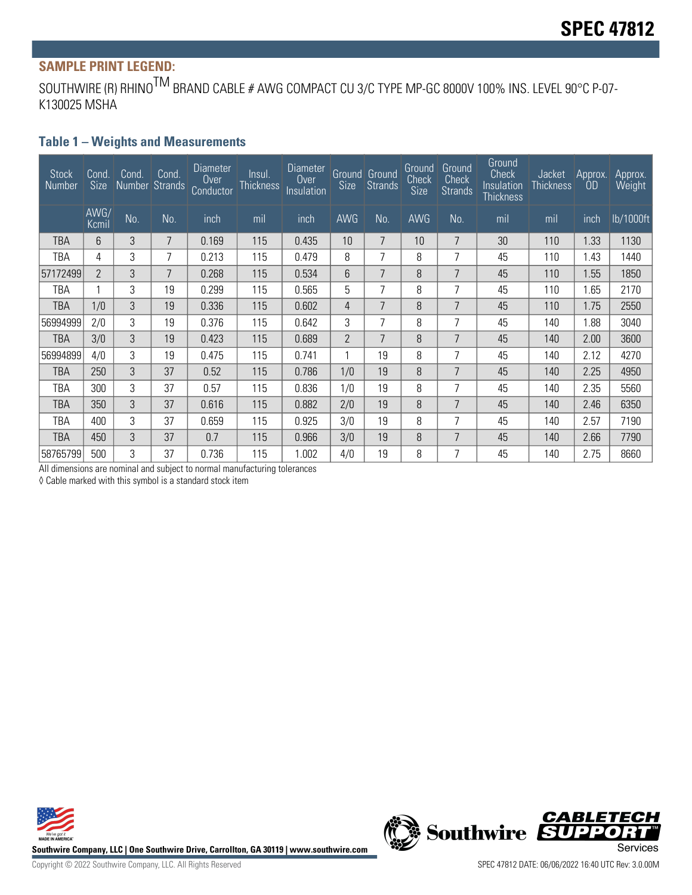## **SAMPLE PRINT LEGEND:**

SOUTHWIRE (R) RHINO<sup>TM</sup> BRAND CABLE # AWG COMPACT CU 3/C TYPE MP-GC 8000V 100% INS. LEVEL 90°C P-07-K130025 MSHA

#### **Table 1 – Weights and Measurements**

| <b>Stock</b><br>Number | Cond.<br>Size  | Cond.<br>Number Strands | Cond. | <b>Diameter</b><br>0 <sub>ver</sub><br>Conductor | Insul.<br><b>Thickness</b> | Diameter<br>Over<br>Insulation | Size           | <b>Ground</b> Ground<br><b>Strands</b> | Ground<br>Check<br>Size | Ground<br>Check<br><b>Strands</b> | Ground<br><b>Check</b><br>Insulation<br>Thickness | Jacket<br><b>Thickness</b> | Approx.<br>OD | Approx.<br><b>Weight</b> |
|------------------------|----------------|-------------------------|-------|--------------------------------------------------|----------------------------|--------------------------------|----------------|----------------------------------------|-------------------------|-----------------------------------|---------------------------------------------------|----------------------------|---------------|--------------------------|
|                        | AWG/<br>Kcmil  | No.                     | No.   | inch                                             | mil                        | inch                           | AWG            | No.                                    | <b>AWG</b>              | No.                               | mil                                               | mil                        | inch          | lb/1000ft                |
| TBA                    | 6              | 3                       | 7     | 0.169                                            | 115                        | 0.435                          | 10             | 7                                      | 10 <sup>°</sup>         | $\overline{7}$                    | 30                                                | 110                        | 1.33          | 1130                     |
| TBA                    | 4              | 3                       | 7     | 0.213                                            | 115                        | 0.479                          | 8              | 7                                      | 8                       | 7                                 | 45                                                | 110                        | 1.43          | 1440                     |
| 57172499               | $\overline{2}$ | 3                       | 7     | 0.268                                            | 115                        | 0.534                          | 6              | 7                                      | 8                       | 7                                 | 45                                                | 110                        | 1.55          | 1850                     |
| TBA                    |                | 3                       | 19    | 0.299                                            | 115                        | 0.565                          | 5              | 7                                      | 8                       | 7                                 | 45                                                | 110                        | 1.65          | 2170                     |
| TBA                    | 1/0            | 3                       | 19    | 0.336                                            | 115                        | 0.602                          | 4              | 7                                      | 8                       | 7                                 | 45                                                | 110                        | 1.75          | 2550                     |
| 56994999               | 2/0            | 3                       | 19    | 0.376                                            | 115                        | 0.642                          | 3              | 7                                      | 8                       | 7                                 | 45                                                | 140                        | 1.88          | 3040                     |
| <b>TBA</b>             | 3/0            | 3                       | 19    | 0.423                                            | 115                        | 0.689                          | $\overline{2}$ | 7                                      | 8                       | 7                                 | 45                                                | 140                        | 2.00          | 3600                     |
| 56994899               | 4/0            | 3                       | 19    | 0.475                                            | 115                        | 0.741                          |                | 19                                     | 8                       | 7                                 | 45                                                | 140                        | 2.12          | 4270                     |
| TBA                    | 250            | 3                       | 37    | 0.52                                             | 115                        | 0.786                          | 1/0            | 19                                     | 8                       | 7                                 | 45                                                | 140                        | 2.25          | 4950                     |
| TBA                    | 300            | 3                       | 37    | 0.57                                             | 115                        | 0.836                          | 1/0            | 19                                     | 8                       | 7                                 | 45                                                | 140                        | 2.35          | 5560                     |
| TBA                    | 350            | 3                       | 37    | 0.616                                            | 115                        | 0.882                          | 2/0            | 19                                     | 8                       | 7                                 | 45                                                | 140                        | 2.46          | 6350                     |
| TBA                    | 400            | 3                       | 37    | 0.659                                            | 115                        | 0.925                          | 3/0            | 19                                     | 8                       | 7                                 | 45                                                | 140                        | 2.57          | 7190                     |
| TBA                    | 450            | 3                       | 37    | 0.7                                              | 115                        | 0.966                          | 3/0            | 19                                     | 8                       | 7                                 | 45                                                | 140                        | 2.66          | 7790                     |
| 58765799               | 500            | 3                       | 37    | 0.736                                            | 115                        | 1.002                          | 4/0            | 19                                     | 8                       | 7                                 | 45                                                | 140                        | 2.75          | 8660                     |

All dimensions are nominal and subject to normal manufacturing tolerances

◊ Cable marked with this symbol is a standard stock item





Copyright © 2022 Southwire Company, LLC. All Rights Reserved SPEC 47812 DATE: 06/06/2022 16:40 UTC Rev: 3.0.00M